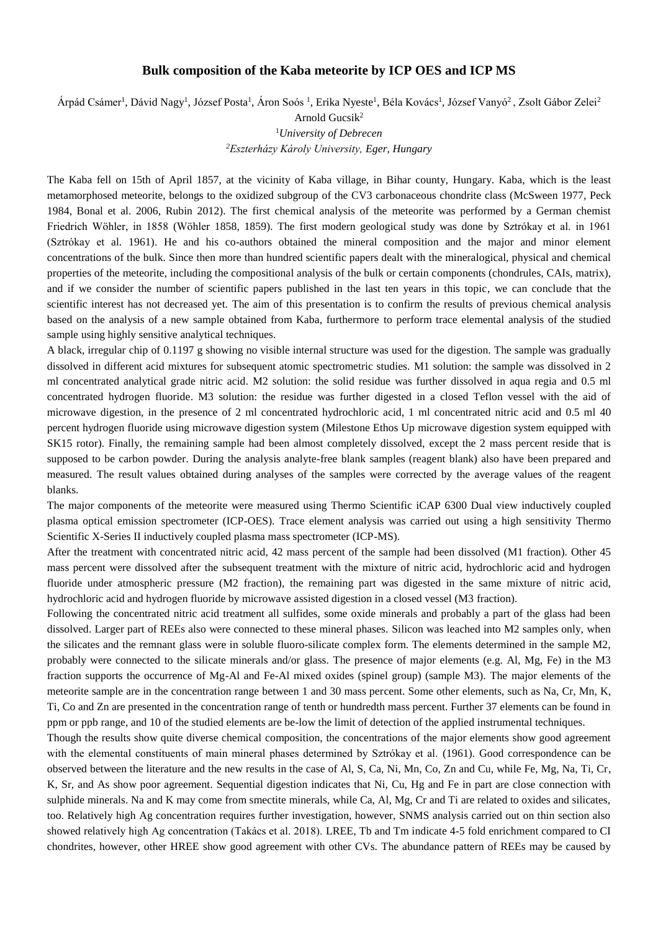## **Bulk composition of the Kaba meteorite by ICP OES and ICP MS**

Árpád Csámer<sup>1</sup>, Dávid Nagy<sup>1</sup>, József Posta<sup>1</sup>, Áron Soós <sup>1</sup>, Erika Nyeste<sup>1</sup>, Béla Kovács<sup>1</sup>, József Vanyó<sup>2</sup>, Zsolt Gábor Zelei<sup>2</sup>

Arnold Gucsik<sup>2</sup>

<sup>1</sup>*University of Debrecen <sup>2</sup>Eszterházy Károly University, Eger, Hungary*

The Kaba fell on 15th of April 1857, at the vicinity of Kaba village, in Bihar county, Hungary. Kaba, which is the least metamorphosed meteorite, belongs to the oxidized subgroup of the CV3 carbonaceous chondrite class (McSween 1977, Peck 1984, Bonal et al. 2006, Rubin 2012). The first chemical analysis of the meteorite was performed by a German chemist Friedrich Wöhler, in 1858 (Wöhler 1858, 1859). The first modern geological study was done by Sztrókay et al. in 1961 (Sztrókay et al. 1961). He and his co-authors obtained the mineral composition and the major and minor element concentrations of the bulk. Since then more than hundred scientific papers dealt with the mineralogical, physical and chemical properties of the meteorite, including the compositional analysis of the bulk or certain components (chondrules, CAIs, matrix), and if we consider the number of scientific papers published in the last ten years in this topic, we can conclude that the scientific interest has not decreased yet. The aim of this presentation is to confirm the results of previous chemical analysis based on the analysis of a new sample obtained from Kaba, furthermore to perform trace elemental analysis of the studied sample using highly sensitive analytical techniques.

A black, irregular chip of 0.1197 g showing no visible internal structure was used for the digestion. The sample was gradually dissolved in different acid mixtures for subsequent atomic spectrometric studies. M1 solution: the sample was dissolved in 2 ml concentrated analytical grade nitric acid. M2 solution: the solid residue was further dissolved in aqua regia and 0.5 ml concentrated hydrogen fluoride. M3 solution: the residue was further digested in a closed Teflon vessel with the aid of microwave digestion, in the presence of 2 ml concentrated hydrochloric acid, 1 ml concentrated nitric acid and 0.5 ml 40 percent hydrogen fluoride using microwave digestion system (Milestone Ethos Up microwave digestion system equipped with SK15 rotor). Finally, the remaining sample had been almost completely dissolved, except the 2 mass percent reside that is supposed to be carbon powder. During the analysis analyte-free blank samples (reagent blank) also have been prepared and measured. The result values obtained during analyses of the samples were corrected by the average values of the reagent blanks.

The major components of the meteorite were measured using Thermo Scientific iCAP 6300 Dual view inductively coupled plasma optical emission spectrometer (ICP-OES). Trace element analysis was carried out using a high sensitivity Thermo Scientific X-Series II inductively coupled plasma mass spectrometer (ICP-MS).

After the treatment with concentrated nitric acid, 42 mass percent of the sample had been dissolved (M1 fraction). Other 45 mass percent were dissolved after the subsequent treatment with the mixture of nitric acid, hydrochloric acid and hydrogen fluoride under atmospheric pressure (M2 fraction), the remaining part was digested in the same mixture of nitric acid, hydrochloric acid and hydrogen fluoride by microwave assisted digestion in a closed vessel (M3 fraction).

Following the concentrated nitric acid treatment all sulfides, some oxide minerals and probably a part of the glass had been dissolved. Larger part of REEs also were connected to these mineral phases. Silicon was leached into M2 samples only, when the silicates and the remnant glass were in soluble fluoro-silicate complex form. The elements determined in the sample M2, probably were connected to the silicate minerals and/or glass. The presence of major elements (e.g. Al, Mg, Fe) in the M3 fraction supports the occurrence of Mg-Al and Fe-Al mixed oxides (spinel group) (sample M3). The major elements of the meteorite sample are in the concentration range between 1 and 30 mass percent. Some other elements, such as Na, Cr, Mn, K, Ti, Co and Zn are presented in the concentration range of tenth or hundredth mass percent. Further 37 elements can be found in ppm or ppb range, and 10 of the studied elements are be-low the limit of detection of the applied instrumental techniques.

Though the results show quite diverse chemical composition, the concentrations of the major elements show good agreement with the elemental constituents of main mineral phases determined by Sztrókay et al. (1961). Good correspondence can be observed between the literature and the new results in the case of Al, S, Ca, Ni, Mn, Co, Zn and Cu, while Fe, Mg, Na, Ti, Cr, K, Sr, and As show poor agreement. Sequential digestion indicates that Ni, Cu, Hg and Fe in part are close connection with sulphide minerals. Na and K may come from smectite minerals, while Ca, Al, Mg, Cr and Ti are related to oxides and silicates, too. Relatively high Ag concentration requires further investigation, however, SNMS analysis carried out on thin section also showed relatively high Ag concentration (Takács et al. 2018). LREE, Tb and Tm indicate 4-5 fold enrichment compared to CI chondrites, however, other HREE show good agreement with other CVs. The abundance pattern of REEs may be caused by